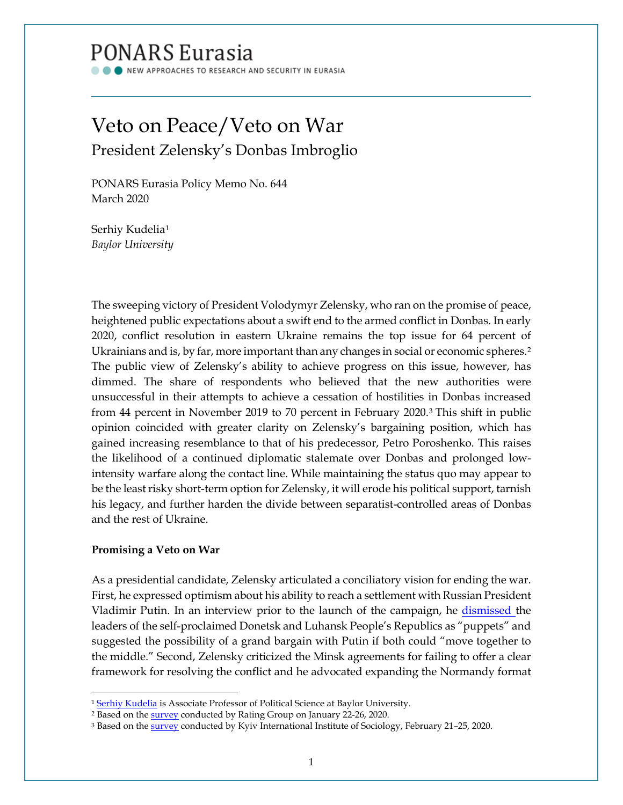# PONARS Eurasia

NEW APPROACHES TO RESEARCH AND SECURITY IN EURASIA

## Veto on Peace/Veto on War President Zelensky's Donbas Imbroglio

PONARS Eurasia Policy Memo No. 644 March 2020

Serhiy Kudelia[1](#page-0-0) *Baylor University*

The sweeping victory of President Volodymyr Zelensky, who ran on the promise of peace, heightened public expectations about a swift end to the armed conflict in Donbas. In early 2020, conflict resolution in eastern Ukraine remains the top issue for 64 percent of Ukrainians and is, by far, more important than any changes in social or economic spheres.<sup>[2](#page-0-1)</sup> The public view of Zelensky's ability to achieve progress on this issue, however, has dimmed. The share of respondents who believed that the new authorities were unsuccessful in their attempts to achieve a cessation of hostilities in Donbas increased from 44 percent in November 2019 to 70 percent in February 2020.[3](#page-0-2) This shift in public opinion coincided with greater clarity on Zelensky's bargaining position, which has gained increasing resemblance to that of his predecessor, Petro Poroshenko. This raises the likelihood of a continued diplomatic stalemate over Donbas and prolonged lowintensity warfare along the contact line. While maintaining the status quo may appear to be the least risky short-term option for Zelensky, it will erode his political support, tarnish his legacy, and further harden the divide between separatist-controlled areas of Donbas and the rest of Ukraine.

### **Promising a Veto on War**

l

As a presidential candidate, Zelensky articulated a conciliatory vision for ending the war. First, he expressed optimism about his ability to reach a settlement with Russian President Vladimir Putin. In an interview prior to the launch of the campaign, he [dismissed t](https://www.pravda.com.ua/news/2018/12/26/7202291/)he leaders of the self-proclaimed Donetsk and Luhansk People's Republics as "puppets" and suggested the possibility of a grand bargain with Putin if both could "move together to the middle." Second, Zelensky criticized the Minsk agreements for failing to offer a clear framework for resolving the conflict and he advocated expanding the Normandy format

<sup>&</sup>lt;sup>1</sup> Serhiy [Kudelia](http://www.ponarseurasia.org/members/sergiy-kudelia) is Associate Professor of Political Science at Baylor University.

<span id="page-0-1"></span><span id="page-0-0"></span><sup>&</sup>lt;sup>2</sup> Based on the **survey** conducted by Rating Group on January 22-26, 2020.

<span id="page-0-2"></span><sup>&</sup>lt;sup>3</sup> Based on the **survey** conducted by Kyiv International Institute of Sociology, February 21-25, 2020.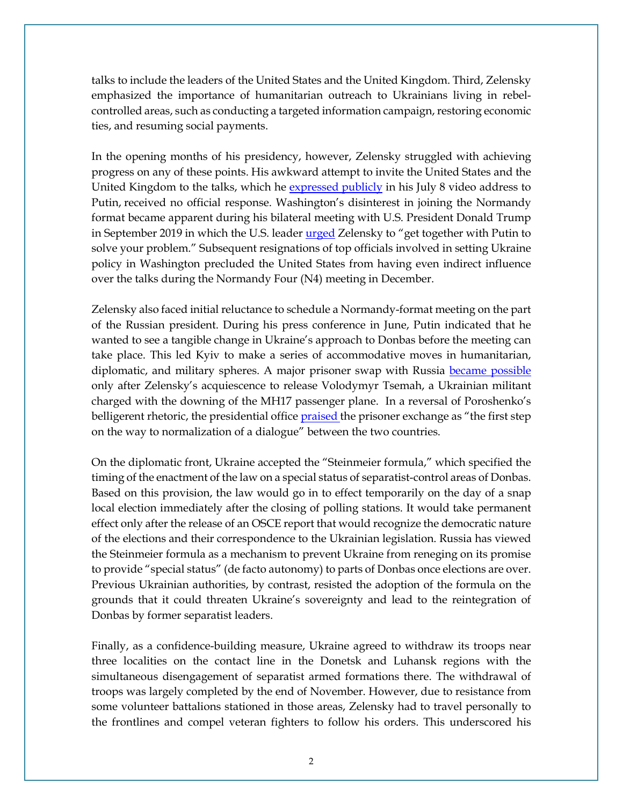talks to include the leaders of the United States and the United Kingdom. Third, Zelensky emphasized the importance of humanitarian outreach to Ukrainians living in rebelcontrolled areas, such as conducting a targeted information campaign, restoring economic ties, and resuming social payments.

In the opening months of his presidency, however, Zelensky struggled with achieving progress on any of these points. His awkward attempt to invite the United States and the United Kingdom to the talks, which he [expressed publicly](https://www.youtube.com/watch?v=Don2mea7NBY) in his July 8 video address to Putin, received no official response. Washington's disinterest in joining the Normandy format became apparent during his bilateral meeting with U.S. President Donald Trump in September 2019 in which the U.S. leader [urged](https://www.rferl.org/a/trump-to-zelenskiy-i-really-hope-you-get-together-with-putin-solve-your-problem-/30183897.html) Zelensky to "get together with Putin to solve your problem." Subsequent resignations of top officials involved in setting Ukraine policy in Washington precluded the United States from having even indirect influence over the talks during the Normandy Four (N4) meeting in December.

Zelensky also faced initial reluctance to schedule a Normandy-format meeting on the part of the Russian president. During his press conference in June, Putin indicated that he wanted to see a tangible change in Ukraine's approach to Donbas before the meeting can take place. This led Kyiv to make a series of accommodative moves in humanitarian, diplomatic, and military spheres. A major prisoner swap with Russia [became possible](https://www.pravda.com.ua/articles/2019/09/7/7225631/) only after Zelensky's acquiescence to release Volodymyr Tsemah, a Ukrainian militant charged with the downing of the MH17 passenger plane. In a reversal of Poroshenko's belligerent rhetoric, the presidential offic[e praised t](https://www.facebook.com/president.gov.ua/posts/1719007121577481)he prisoner exchange as "the first step on the way to normalization of a dialogue" between the two countries.

On the diplomatic front, Ukraine accepted the "Steinmeier formula," which specified the timing of the enactment of the law on a special status of separatist-control areas of Donbas. Based on this provision, the law would go in to effect temporarily on the day of a snap local election immediately after the closing of polling stations. It would take permanent effect only after the release of an OSCE report that would recognize the democratic nature of the elections and their correspondence to the Ukrainian legislation. Russia has viewed the Steinmeier formula as a mechanism to prevent Ukraine from reneging on its promise to provide "special status" (de facto autonomy) to parts of Donbas once elections are over. Previous Ukrainian authorities, by contrast, resisted the adoption of the formula on the grounds that it could threaten Ukraine's sovereignty and lead to the reintegration of Donbas by former separatist leaders.

Finally, as a confidence-building measure, Ukraine agreed to withdraw its troops near three localities on the contact line in the Donetsk and Luhansk regions with the simultaneous disengagement of separatist armed formations there. The withdrawal of troops was largely completed by the end of November. However, due to resistance from some volunteer battalions stationed in those areas, Zelensky had to travel personally to the frontlines and compel veteran fighters to follow his orders. This underscored his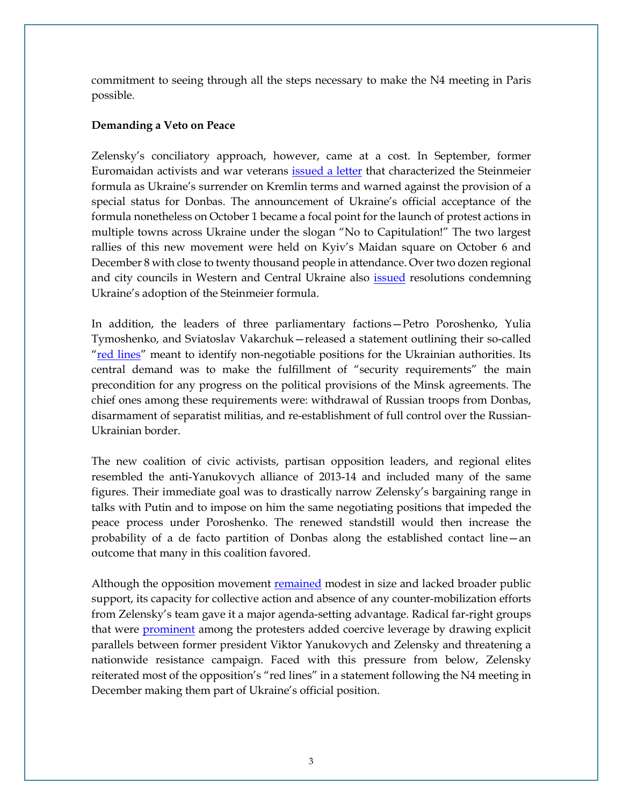commitment to seeing through all the steps necessary to make the N4 meeting in Paris possible.

#### **Demanding a Veto on Peace**

Zelensky's conciliatory approach, however, came at a cost. In September, former Euromaidan activists and war veterans [issued a letter](https://prm.ua/ni-kapitulyatsiyi-ukrayini-za-formuloyu-shtaynmayera-vidomi-gromadski-diyachi-napisali-vidkritiy-list-do-zelenskogo/) that characterized the Steinmeier formula as Ukraine's surrender on Kremlin terms and warned against the provision of a special status for Donbas. The announcement of Ukraine's official acceptance of the formula nonetheless on October 1 became a focal point for the launch of protest actions in multiple towns across Ukraine under the slogan "No to Capitulation!" The two largest rallies of this new movement were held on Kyiv's Maidan square on October 6 and December 8 with close to twenty thousand people in attendance. Over two dozen regional and city councils in Western and Central Ukraine also **issued** resolutions condemning Ukraine's adoption of the Steinmeier formula.

In addition, the leaders of three parliamentary factions—Petro Poroshenko, Yulia Tymoshenko, and Sviatoslav Vakarchuk—released a statement outlining their so-called ["red lines"](https://www.facebook.com/YuliaTymoshenko/posts/2707091655995587) meant to identify non-negotiable positions for the Ukrainian authorities. Its central demand was to make the fulfillment of "security requirements" the main precondition for any progress on the political provisions of the Minsk agreements. The chief ones among these requirements were: withdrawal of Russian troops from Donbas, disarmament of separatist militias, and re-establishment of full control over the Russian-Ukrainian border.

The new coalition of civic activists, partisan opposition leaders, and regional elites resembled the anti-Yanukovych alliance of 2013-14 and included many of the same figures. Their immediate goal was to drastically narrow Zelensky's bargaining range in talks with Putin and to impose on him the same negotiating positions that impeded the peace process under Poroshenko. The renewed standstill would then increase the probability of a de facto partition of Donbas along the established contact line—an outcome that many in this coalition favored.

Although the opposition movement [remained](https://www.kiis.com.ua/?lang=ukr&cat=reports&id=898&page=1) modest in size and lacked broader public support, its capacity for collective action and absence of any counter-mobilization efforts from Zelensky's team gave it a major agenda-setting advantage. Radical far-right groups that were [prominent](https://texty.org.ua/articles/97243/Krajnopravi_z_Azova_peretagujut_pid_sebe_akciju-97243/) among the protesters added coercive leverage by drawing explicit parallels between former president Viktor Yanukovych and Zelensky and threatening a nationwide resistance campaign. Faced with this pressure from below, Zelensky reiterated most of the opposition's "red lines" in a statement following the N4 meeting in December making them part of Ukraine's official position.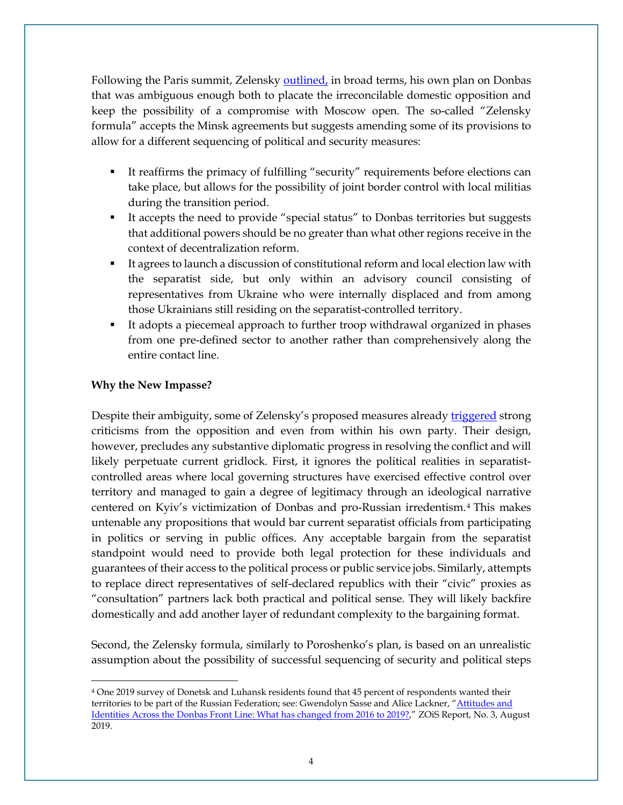Following the Paris summit, Zelensky [outlined,](https://www.president.gov.ua/en/news/vistup-prezidenta-ukrayini-volodimira-zelenskogo-na-myunhens-59817) in broad terms, his own plan on Donbas that was ambiguous enough both to placate the irreconcilable domestic opposition and keep the possibility of a compromise with Moscow open. The so-called "Zelensky formula" accepts the Minsk agreements but suggests amending some of its provisions to allow for a different sequencing of political and security measures:

- It reaffirms the primacy of fulfilling "security" requirements before elections can take place, but allows for the possibility of joint border control with local militias during the transition period.
- It accepts the need to provide "special status" to Donbas territories but suggests that additional powers should be no greater than what other regions receive in the context of decentralization reform.
- It agrees to launch a discussion of constitutional reform and local election law with the separatist side, but only within an advisory council consisting of representatives from Ukraine who were internally displaced and from among those Ukrainians still residing on the separatist-controlled territory.
- It adopts a piecemeal approach to further troop withdrawal organized in phases from one pre-defined sector to another rather than comprehensively along the entire contact line.

### **Why the New Impasse?**

l

Despite their ambiguity, some of Zelensky's proposed measures already [triggered](https://hromadske.ua/posts/chastina-sluga-narodu-zaklikala-zelenskogo-ne-vesti-pryamih-peregovoriv-z-bojovikami-ldnr) strong criticisms from the opposition and even from within his own party. Their design, however, precludes any substantive diplomatic progress in resolving the conflict and will likely perpetuate current gridlock. First, it ignores the political realities in separatistcontrolled areas where local governing structures have exercised effective control over territory and managed to gain a degree of legitimacy through an ideological narrative centered on Kyiv's victimization of Donbas and pro-Russian irredentism.[4](#page-3-0) This makes untenable any propositions that would bar current separatist officials from participating in politics or serving in public offices. Any acceptable bargain from the separatist standpoint would need to provide both legal protection for these individuals and guarantees of their access to the political process or public service jobs. Similarly, attempts to replace direct representatives of self-declared republics with their "civic" proxies as "consultation" partners lack both practical and political sense. They will likely backfire domestically and add another layer of redundant complexity to the bargaining format.

Second, the Zelensky formula, similarly to Poroshenko's plan, is based on an unrealistic assumption about the possibility of successful sequencing of security and political steps

<span id="page-3-0"></span><sup>4</sup> One 2019 survey of Donetsk and Luhansk residents found that 45 percent of respondents wanted their territories to be part of the Russian Federation; see: Gwendolyn Sasse and Alice Lackner, "Attitudes and [Identities Across the Donbas Front Line: What has changed from 2016 to 2019?,](https://www.zois-berlin.de/publikationen/zois-report/zois-report-32019/)" ZOiS Report, No. 3, August 2019.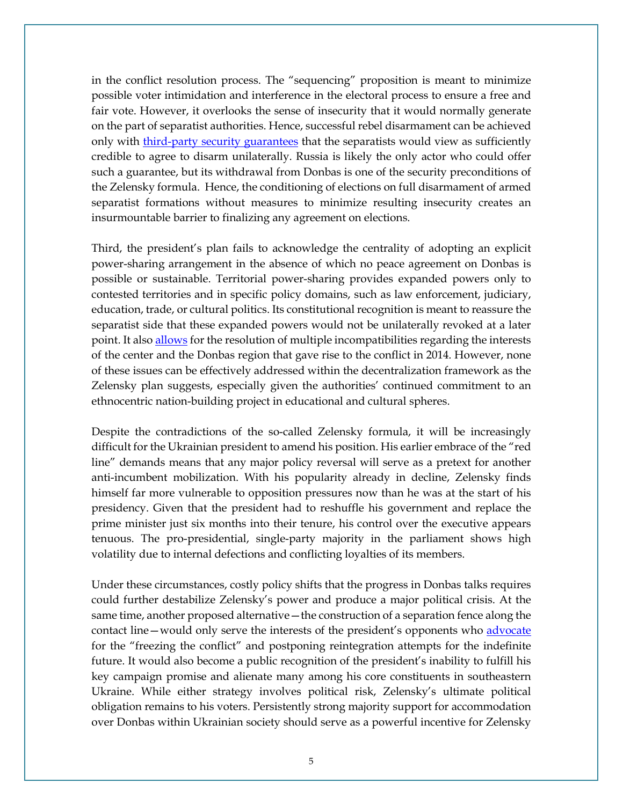in the conflict resolution process. The "sequencing" proposition is meant to minimize possible voter intimidation and interference in the electoral process to ensure a free and fair vote. However, it overlooks the sense of insecurity that it would normally generate on the part of separatist authorities. Hence, successful rebel disarmament can be achieved only with [third-party security guarantees](https://press.princeton.edu/books/paperback/9780691089317/committing-to-peace) that the separatists would view as sufficiently credible to agree to disarm unilaterally. Russia is likely the only actor who could offer such a guarantee, but its withdrawal from Donbas is one of the security preconditions of the Zelensky formula. Hence, the conditioning of elections on full disarmament of armed separatist formations without measures to minimize resulting insecurity creates an insurmountable barrier to finalizing any agreement on elections.

Third, the president's plan fails to acknowledge the centrality of adopting an explicit power-sharing arrangement in the absence of which no peace agreement on Donbas is possible or sustainable. Territorial power-sharing provides expanded powers only to contested territories and in specific policy domains, such as law enforcement, judiciary, education, trade, or cultural politics. Its constitutional recognition is meant to reassure the separatist side that these expanded powers would not be unilaterally revoked at a later point. It also **allows** for the resolution of multiple incompatibilities regarding the interests of the center and the Donbas region that gave rise to the conflict in 2014. However, none of these issues can be effectively addressed within the decentralization framework as the Zelensky plan suggests, especially given the authorities' continued commitment to an ethnocentric nation-building project in educational and cultural spheres.

Despite the contradictions of the so-called Zelensky formula, it will be increasingly difficult for the Ukrainian president to amend his position. His earlier embrace of the "red line" demands means that any major policy reversal will serve as a pretext for another anti-incumbent mobilization. With his popularity already in decline, Zelensky finds himself far more vulnerable to opposition pressures now than he was at the start of his presidency. Given that the president had to reshuffle his government and replace the prime minister just six months into their tenure, his control over the executive appears tenuous. The pro-presidential, single-party majority in the parliament shows high volatility due to internal defections and conflicting loyalties of its members.

Under these circumstances, costly policy shifts that the progress in Donbas talks requires could further destabilize Zelensky's power and produce a major political crisis. At the same time, another proposed alternative—the construction of a separation fence along the contact line—would only serve the interests of the president's opponents who [advocate](https://www.pravda.com.ua/news/2019/11/8/7231399/) for the "freezing the conflict" and postponing reintegration attempts for the indefinite future. It would also become a public recognition of the president's inability to fulfill his key campaign promise and alienate many among his core constituents in southeastern Ukraine. While either strategy involves political risk, Zelensky's ultimate political obligation remains to his voters. Persistently strong majority support for accommodation over Donbas within Ukrainian society should serve as a powerful incentive for Zelensky